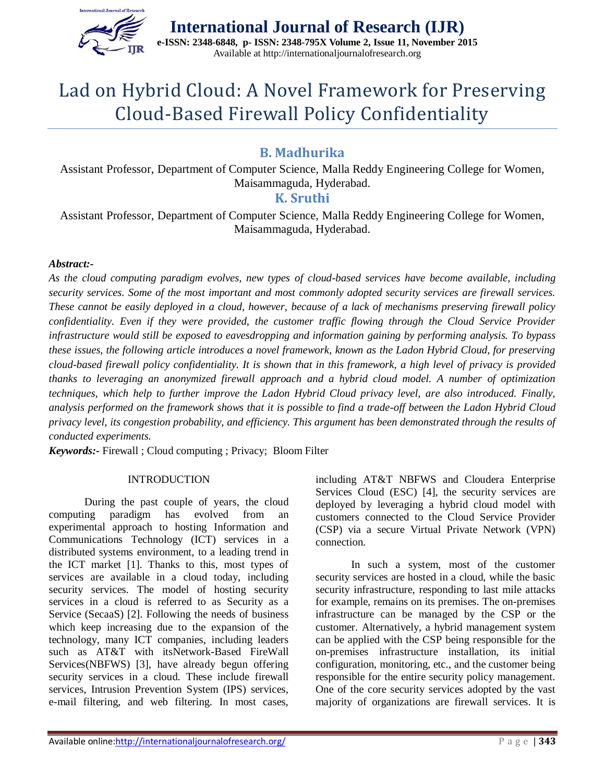

**International Journal of Research (IJR) e-ISSN: 2348-6848, p- ISSN: 2348-795X Volume 2, Issue 11, November 2015** Available at http://internationaljournalofresearch.org

# Lad on Hybrid Cloud: A Novel Framework for Preserving Cloud-Based Firewall Policy Confidentiality

## **B. Madhurika**

Assistant Professor, Department of Computer Science, Malla Reddy Engineering College for Women, Maisammaguda, Hyderabad.

### **K. Sruthi**

Assistant Professor, Department of Computer Science, Malla Reddy Engineering College for Women, Maisammaguda, Hyderabad.

#### *Abstract:-*

*As the cloud computing paradigm evolves, new types of cloud-based services have become available, including security services. Some of the most important and most commonly adopted security services are firewall services. These cannot be easily deployed in a cloud, however, because of a lack of mechanisms preserving firewall policy confidentiality. Even if they were provided, the customer traffic flowing through the Cloud Service Provider infrastructure would still be exposed to eavesdropping and information gaining by performing analysis. To bypass these issues, the following article introduces a novel framework, known as the Ladon Hybrid Cloud, for preserving cloud-based firewall policy confidentiality. It is shown that in this framework, a high level of privacy is provided thanks to leveraging an anonymized firewall approach and a hybrid cloud model. A number of optimization techniques, which help to further improve the Ladon Hybrid Cloud privacy level, are also introduced. Finally, analysis performed on the framework shows that it is possible to find a trade-off between the Ladon Hybrid Cloud privacy level, its congestion probability, and efficiency. This argument has been demonstrated through the results of conducted experiments.* 

*Keywords:-* Firewall ; Cloud computing ; Privacy; Bloom Filter

#### **INTRODUCTION**

During the past couple of years, the cloud computing paradigm has evolved from an experimental approach to hosting Information and Communications Technology (ICT) services in a distributed systems environment, to a leading trend in the ICT market [1]. Thanks to this, most types of services are available in a cloud today, including security services. The model of hosting security services in a cloud is referred to as Security as a Service (SecaaS) [2]. Following the needs of business which keep increasing due to the expansion of the technology, many ICT companies, including leaders such as AT&T with itsNetwork-Based FireWall Services(NBFWS) [3], have already begun offering security services in a cloud. These include firewall services, Intrusion Prevention System (IPS) services, e-mail filtering, and web filtering. In most cases,

including AT&T NBFWS and Cloudera Enterprise Services Cloud (ESC) [4], the security services are deployed by leveraging a hybrid cloud model with customers connected to the Cloud Service Provider (CSP) via a secure Virtual Private Network (VPN) connection.

In such a system, most of the customer security services are hosted in a cloud, while the basic security infrastructure, responding to last mile attacks for example, remains on its premises. The on-premises infrastructure can be managed by the CSP or the customer. Alternatively, a hybrid management system can be applied with the CSP being responsible for the on-premises infrastructure installation, its initial configuration, monitoring, etc., and the customer being responsible for the entire security policy management. One of the core security services adopted by the vast majority of organizations are firewall services. It is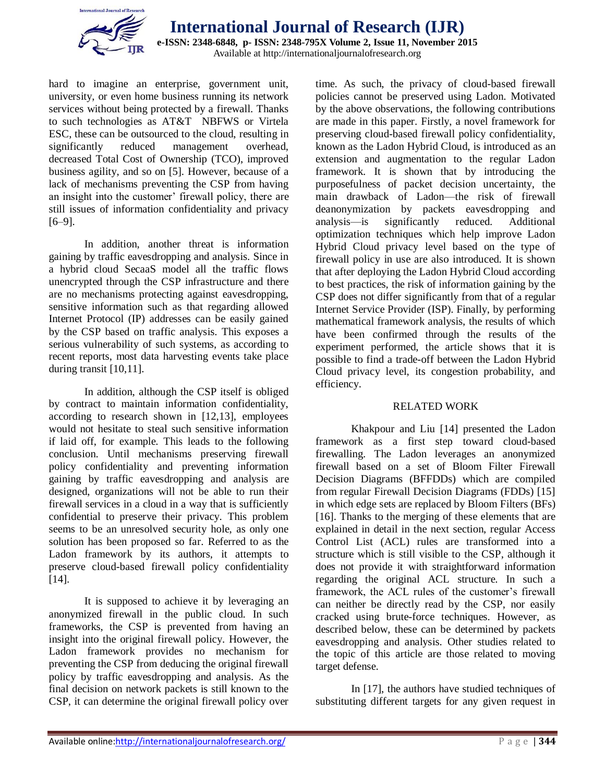

hard to imagine an enterprise, government unit, university, or even home business running its network services without being protected by a firewall. Thanks to such technologies as AT&T NBFWS or Virtela ESC, these can be outsourced to the cloud, resulting in significantly reduced management overhead, decreased Total Cost of Ownership (TCO), improved business agility, and so on [5]. However, because of a lack of mechanisms preventing the CSP from having an insight into the customer' firewall policy, there are still issues of information confidentiality and privacy [6–9].

In addition, another threat is information gaining by traffic eavesdropping and analysis. Since in a hybrid cloud SecaaS model all the traffic flows unencrypted through the CSP infrastructure and there are no mechanisms protecting against eavesdropping, sensitive information such as that regarding allowed Internet Protocol (IP) addresses can be easily gained by the CSP based on traffic analysis. This exposes a serious vulnerability of such systems, as according to recent reports, most data harvesting events take place during transit [10,11].

In addition, although the CSP itself is obliged by contract to maintain information confidentiality, according to research shown in [12,13], employees would not hesitate to steal such sensitive information if laid off, for example. This leads to the following conclusion. Until mechanisms preserving firewall policy confidentiality and preventing information gaining by traffic eavesdropping and analysis are designed, organizations will not be able to run their firewall services in a cloud in a way that is sufficiently confidential to preserve their privacy. This problem seems to be an unresolved security hole, as only one solution has been proposed so far. Referred to as the Ladon framework by its authors, it attempts to preserve cloud-based firewall policy confidentiality [14].

It is supposed to achieve it by leveraging an anonymized firewall in the public cloud. In such frameworks, the CSP is prevented from having an insight into the original firewall policy. However, the Ladon framework provides no mechanism for preventing the CSP from deducing the original firewall policy by traffic eavesdropping and analysis. As the final decision on network packets is still known to the CSP, it can determine the original firewall policy over

time. As such, the privacy of cloud-based firewall policies cannot be preserved using Ladon. Motivated by the above observations, the following contributions are made in this paper. Firstly, a novel framework for preserving cloud-based firewall policy confidentiality, known as the Ladon Hybrid Cloud, is introduced as an extension and augmentation to the regular Ladon framework. It is shown that by introducing the purposefulness of packet decision uncertainty, the main drawback of Ladon—the risk of firewall deanonymization by packets eavesdropping and analysis—is significantly reduced. Additional optimization techniques which help improve Ladon Hybrid Cloud privacy level based on the type of firewall policy in use are also introduced. It is shown that after deploying the Ladon Hybrid Cloud according to best practices, the risk of information gaining by the CSP does not differ significantly from that of a regular Internet Service Provider (ISP). Finally, by performing mathematical framework analysis, the results of which have been confirmed through the results of the experiment performed, the article shows that it is possible to find a trade-off between the Ladon Hybrid Cloud privacy level, its congestion probability, and efficiency.

#### RELATED WORK

Khakpour and Liu [14] presented the Ladon framework as a first step toward cloud-based firewalling. The Ladon leverages an anonymized firewall based on a set of Bloom Filter Firewall Decision Diagrams (BFFDDs) which are compiled from regular Firewall Decision Diagrams (FDDs) [15] in which edge sets are replaced by Bloom Filters (BFs) [16]. Thanks to the merging of these elements that are explained in detail in the next section, regular Access Control List (ACL) rules are transformed into a structure which is still visible to the CSP, although it does not provide it with straightforward information regarding the original ACL structure. In such a framework, the ACL rules of the customer's firewall can neither be directly read by the CSP, nor easily cracked using brute-force techniques. However, as described below, these can be determined by packets eavesdropping and analysis. Other studies related to the topic of this article are those related to moving target defense.

In [17], the authors have studied techniques of substituting different targets for any given request in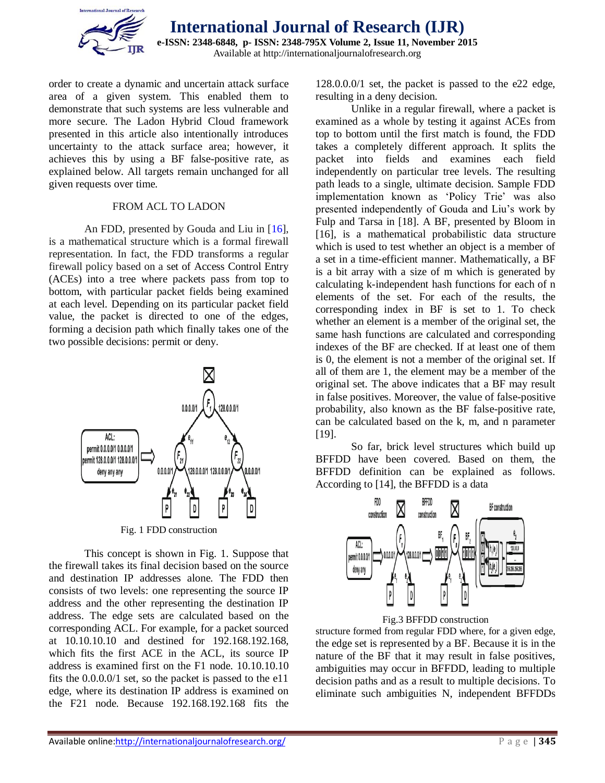

order to create a dynamic and uncertain attack surface area of a given system. This enabled them to demonstrate that such systems are less vulnerable and more secure. The Ladon Hybrid Cloud framework presented in this article also intentionally introduces uncertainty to the attack surface area; however, it achieves this by using a BF false-positive rate, as explained below. All targets remain unchanged for all given requests over time.

#### FROM ACL TO LADON

An FDD, presented by Gouda and Liu in [16], is a mathematical structure which is a formal firewall representation. In fact, the FDD transforms a regular firewall policy based on a set of Access Control Entry (ACEs) into a tree where packets pass from top to bottom, with particular packet fields being examined at each level. Depending on its particular packet field value, the packet is directed to one of the edges, forming a decision path which finally takes one of the two possible decisions: permit or deny.



This concept is shown in Fig. 1. Suppose that the firewall takes its final decision based on the source and destination IP addresses alone. The FDD then consists of two levels: one representing the source IP address and the other representing the destination IP address. The edge sets are calculated based on the corresponding ACL. For example, for a packet sourced at 10.10.10.10 and destined for 192.168.192.168, which fits the first ACE in the ACL, its source IP address is examined first on the F1 node. 10.10.10.10 fits the 0.0.0.0/1 set, so the packet is passed to the e11 edge, where its destination IP address is examined on the F21 node. Because 192.168.192.168 fits the

128.0.0.0/1 set, the packet is passed to the e22 edge, resulting in a deny decision.

Unlike in a regular firewall, where a packet is examined as a whole by testing it against ACEs from top to bottom until the first match is found, the FDD takes a completely different approach. It splits the packet into fields and examines each field independently on particular tree levels. The resulting path leads to a single, ultimate decision. Sample FDD implementation known as 'Policy Trie' was also presented independently of Gouda and Liu's work by Fulp and Tarsa in [18]. A BF, presented by Bloom in [16], is a mathematical probabilistic data structure which is used to test whether an object is a member of a set in a time-efficient manner. Mathematically, a BF is a bit array with a size of m which is generated by calculating k-independent hash functions for each of n elements of the set. For each of the results, the corresponding index in BF is set to 1. To check whether an element is a member of the original set, the same hash functions are calculated and corresponding indexes of the BF are checked. If at least one of them is 0, the element is not a member of the original set. If all of them are 1, the element may be a member of the original set. The above indicates that a BF may result in false positives. Moreover, the value of false-positive probability, also known as the BF false-positive rate, can be calculated based on the k, m, and n parameter [19].

So far, brick level structures which build up BFFDD have been covered. Based on them, the BFFDD definition can be explained as follows. According to [14], the BFFDD is a data



Fig.3 BFFDD construction

structure formed from regular FDD where, for a given edge, the edge set is represented by a BF. Because it is in the nature of the BF that it may result in false positives, ambiguities may occur in BFFDD, leading to multiple decision paths and as a result to multiple decisions. To eliminate such ambiguities N, independent BFFDDs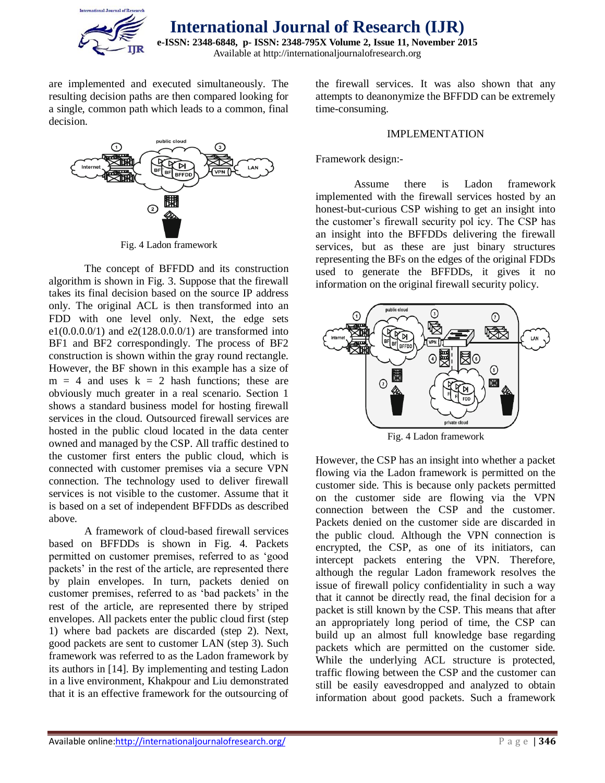

are implemented and executed simultaneously. The resulting decision paths are then compared looking for a single, common path which leads to a common, final decision.



Fig. 4 Ladon framework

The concept of BFFDD and its construction algorithm is shown in Fig. 3. Suppose that the firewall takes its final decision based on the source IP address only. The original ACL is then transformed into an FDD with one level only. Next, the edge sets e1( $0.0.0$ .0/1) and e2( $128.0.0.0/1$ ) are transformed into BF1 and BF2 correspondingly. The process of BF2 construction is shown within the gray round rectangle. However, the BF shown in this example has a size of  $m = 4$  and uses  $k = 2$  hash functions; these are obviously much greater in a real scenario. Section 1 shows a standard business model for hosting firewall services in the cloud. Outsourced firewall services are hosted in the public cloud located in the data center owned and managed by the CSP. All traffic destined to the customer first enters the public cloud, which is connected with customer premises via a secure VPN connection. The technology used to deliver firewall services is not visible to the customer. Assume that it is based on a set of independent BFFDDs as described above.

A framework of cloud-based firewall services based on BFFDDs is shown in Fig. 4. Packets permitted on customer premises, referred to as 'good packets' in the rest of the article, are represented there by plain envelopes. In turn, packets denied on customer premises, referred to as 'bad packets' in the rest of the article, are represented there by striped envelopes. All packets enter the public cloud first (step 1) where bad packets are discarded (step 2). Next, good packets are sent to customer LAN (step 3). Such framework was referred to as the Ladon framework by its authors in [14]. By implementing and testing Ladon in a live environment, Khakpour and Liu demonstrated that it is an effective framework for the outsourcing of

the firewall services. It was also shown that any attempts to deanonymize the BFFDD can be extremely time-consuming.

#### IMPLEMENTATION

#### Framework design:-

Assume there is Ladon framework implemented with the firewall services hosted by an honest-but-curious CSP wishing to get an insight into the customer's firewall security pol icy. The CSP has an insight into the BFFDDs delivering the firewall services, but as these are just binary structures representing the BFs on the edges of the original FDDs used to generate the BFFDDs, it gives it no information on the original firewall security policy.



Fig. 4 Ladon framework

However, the CSP has an insight into whether a packet flowing via the Ladon framework is permitted on the customer side. This is because only packets permitted on the customer side are flowing via the VPN connection between the CSP and the customer. Packets denied on the customer side are discarded in the public cloud. Although the VPN connection is encrypted, the CSP, as one of its initiators, can intercept packets entering the VPN. Therefore, although the regular Ladon framework resolves the issue of firewall policy confidentiality in such a way that it cannot be directly read, the final decision for a packet is still known by the CSP. This means that after an appropriately long period of time, the CSP can build up an almost full knowledge base regarding packets which are permitted on the customer side. While the underlying ACL structure is protected, traffic flowing between the CSP and the customer can still be easily eavesdropped and analyzed to obtain information about good packets. Such a framework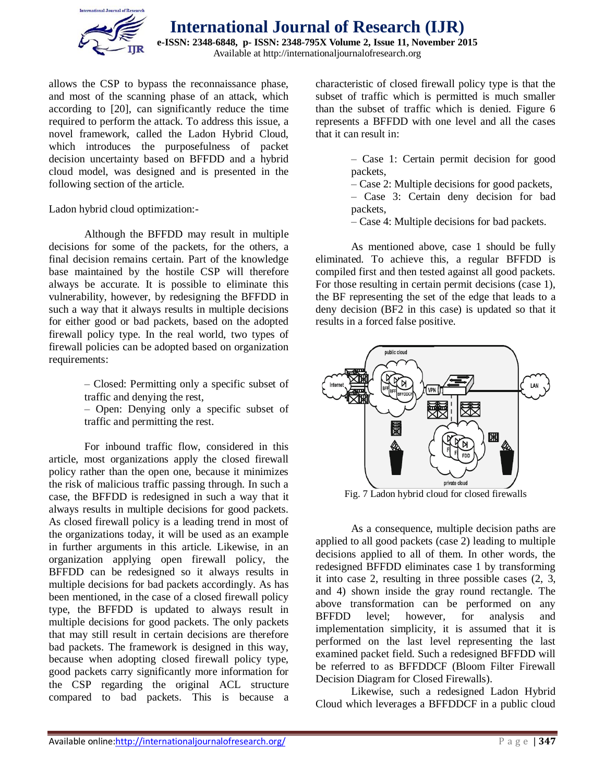

allows the CSP to bypass the reconnaissance phase, and most of the scanning phase of an attack, which according to [20], can significantly reduce the time required to perform the attack. To address this issue, a novel framework, called the Ladon Hybrid Cloud, which introduces the purposefulness of packet decision uncertainty based on BFFDD and a hybrid cloud model, was designed and is presented in the following section of the article.

Ladon hybrid cloud optimization:-

Although the BFFDD may result in multiple decisions for some of the packets, for the others, a final decision remains certain. Part of the knowledge base maintained by the hostile CSP will therefore always be accurate. It is possible to eliminate this vulnerability, however, by redesigning the BFFDD in such a way that it always results in multiple decisions for either good or bad packets, based on the adopted firewall policy type. In the real world, two types of firewall policies can be adopted based on organization requirements:

> – Closed: Permitting only a specific subset of traffic and denying the rest,

> – Open: Denying only a specific subset of traffic and permitting the rest.

For inbound traffic flow, considered in this article, most organizations apply the closed firewall policy rather than the open one, because it minimizes the risk of malicious traffic passing through. In such a case, the BFFDD is redesigned in such a way that it always results in multiple decisions for good packets. As closed firewall policy is a leading trend in most of the organizations today, it will be used as an example in further arguments in this article. Likewise, in an organization applying open firewall policy, the BFFDD can be redesigned so it always results in multiple decisions for bad packets accordingly. As has been mentioned, in the case of a closed firewall policy type, the BFFDD is updated to always result in multiple decisions for good packets. The only packets that may still result in certain decisions are therefore bad packets. The framework is designed in this way, because when adopting closed firewall policy type, good packets carry significantly more information for the CSP regarding the original ACL structure compared to bad packets. This is because a

characteristic of closed firewall policy type is that the subset of traffic which is permitted is much smaller than the subset of traffic which is denied. Figure 6 represents a BFFDD with one level and all the cases that it can result in:

- Case 1: Certain permit decision for good packets,
- Case 2: Multiple decisions for good packets,
- Case 3: Certain deny decision for bad packets,
- Case 4: Multiple decisions for bad packets.

As mentioned above, case 1 should be fully eliminated. To achieve this, a regular BFFDD is compiled first and then tested against all good packets. For those resulting in certain permit decisions (case 1), the BF representing the set of the edge that leads to a deny decision (BF2 in this case) is updated so that it results in a forced false positive.



Fig. 7 Ladon hybrid cloud for closed firewalls

As a consequence, multiple decision paths are applied to all good packets (case 2) leading to multiple decisions applied to all of them. In other words, the redesigned BFFDD eliminates case 1 by transforming it into case 2, resulting in three possible cases (2, 3, and 4) shown inside the gray round rectangle. The above transformation can be performed on any BFFDD level; however, for analysis and implementation simplicity, it is assumed that it is performed on the last level representing the last examined packet field. Such a redesigned BFFDD will be referred to as BFFDDCF (Bloom Filter Firewall Decision Diagram for Closed Firewalls).

Likewise, such a redesigned Ladon Hybrid Cloud which leverages a BFFDDCF in a public cloud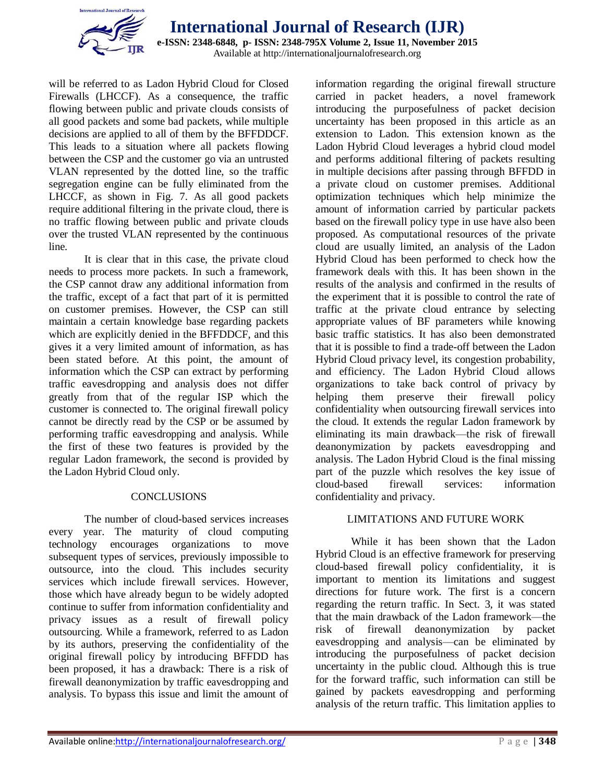

**International Journal of Research (IJR) e-ISSN: 2348-6848, p- ISSN: 2348-795X Volume 2, Issue 11, November 2015** Available at http://internationaljournalofresearch.org

will be referred to as Ladon Hybrid Cloud for Closed Firewalls (LHCCF). As a consequence, the traffic flowing between public and private clouds consists of all good packets and some bad packets, while multiple decisions are applied to all of them by the BFFDDCF. This leads to a situation where all packets flowing between the CSP and the customer go via an untrusted VLAN represented by the dotted line, so the traffic segregation engine can be fully eliminated from the LHCCF, as shown in Fig. 7. As all good packets require additional filtering in the private cloud, there is no traffic flowing between public and private clouds over the trusted VLAN represented by the continuous line.

It is clear that in this case, the private cloud needs to process more packets. In such a framework, the CSP cannot draw any additional information from the traffic, except of a fact that part of it is permitted on customer premises. However, the CSP can still maintain a certain knowledge base regarding packets which are explicitly denied in the BFFDDCF, and this gives it a very limited amount of information, as has been stated before. At this point, the amount of information which the CSP can extract by performing traffic eavesdropping and analysis does not differ greatly from that of the regular ISP which the customer is connected to. The original firewall policy cannot be directly read by the CSP or be assumed by performing traffic eavesdropping and analysis. While the first of these two features is provided by the regular Ladon framework, the second is provided by the Ladon Hybrid Cloud only.

#### **CONCLUSIONS**

The number of cloud-based services increases every year. The maturity of cloud computing technology encourages organizations to move subsequent types of services, previously impossible to outsource, into the cloud. This includes security services which include firewall services. However, those which have already begun to be widely adopted continue to suffer from information confidentiality and privacy issues as a result of firewall policy outsourcing. While a framework, referred to as Ladon by its authors, preserving the confidentiality of the original firewall policy by introducing BFFDD has been proposed, it has a drawback: There is a risk of firewall deanonymization by traffic eavesdropping and analysis. To bypass this issue and limit the amount of information regarding the original firewall structure carried in packet headers, a novel framework introducing the purposefulness of packet decision uncertainty has been proposed in this article as an extension to Ladon. This extension known as the Ladon Hybrid Cloud leverages a hybrid cloud model and performs additional filtering of packets resulting in multiple decisions after passing through BFFDD in a private cloud on customer premises. Additional optimization techniques which help minimize the amount of information carried by particular packets based on the firewall policy type in use have also been proposed. As computational resources of the private cloud are usually limited, an analysis of the Ladon Hybrid Cloud has been performed to check how the framework deals with this. It has been shown in the results of the analysis and confirmed in the results of the experiment that it is possible to control the rate of traffic at the private cloud entrance by selecting appropriate values of BF parameters while knowing basic traffic statistics. It has also been demonstrated that it is possible to find a trade-off between the Ladon Hybrid Cloud privacy level, its congestion probability, and efficiency. The Ladon Hybrid Cloud allows organizations to take back control of privacy by helping them preserve their firewall policy confidentiality when outsourcing firewall services into the cloud. It extends the regular Ladon framework by eliminating its main drawback—the risk of firewall deanonymization by packets eavesdropping and analysis. The Ladon Hybrid Cloud is the final missing part of the puzzle which resolves the key issue of cloud-based firewall services: information confidentiality and privacy.

#### LIMITATIONS AND FUTURE WORK

While it has been shown that the Ladon Hybrid Cloud is an effective framework for preserving cloud-based firewall policy confidentiality, it is important to mention its limitations and suggest directions for future work. The first is a concern regarding the return traffic. In Sect. 3, it was stated that the main drawback of the Ladon framework—the risk of firewall deanonymization by packet eavesdropping and analysis—can be eliminated by introducing the purposefulness of packet decision uncertainty in the public cloud. Although this is true for the forward traffic, such information can still be gained by packets eavesdropping and performing analysis of the return traffic. This limitation applies to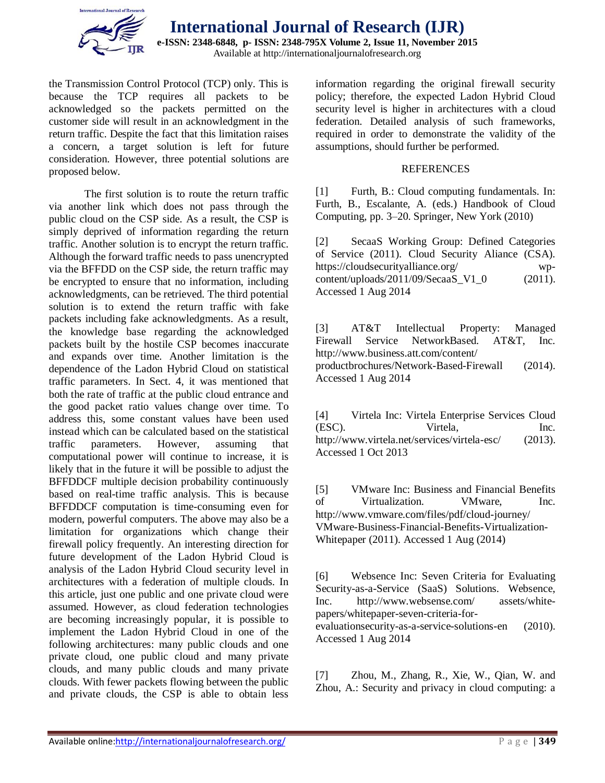

the Transmission Control Protocol (TCP) only. This is because the TCP requires all packets to be acknowledged so the packets permitted on the customer side will result in an acknowledgment in the return traffic. Despite the fact that this limitation raises a concern, a target solution is left for future consideration. However, three potential solutions are proposed below.

The first solution is to route the return traffic via another link which does not pass through the public cloud on the CSP side. As a result, the CSP is simply deprived of information regarding the return traffic. Another solution is to encrypt the return traffic. Although the forward traffic needs to pass unencrypted via the BFFDD on the CSP side, the return traffic may be encrypted to ensure that no information, including acknowledgments, can be retrieved. The third potential solution is to extend the return traffic with fake packets including fake acknowledgments. As a result, the knowledge base regarding the acknowledged packets built by the hostile CSP becomes inaccurate and expands over time. Another limitation is the dependence of the Ladon Hybrid Cloud on statistical traffic parameters. In Sect. 4, it was mentioned that both the rate of traffic at the public cloud entrance and the good packet ratio values change over time. To address this, some constant values have been used instead which can be calculated based on the statistical traffic parameters. However, assuming that computational power will continue to increase, it is likely that in the future it will be possible to adjust the BFFDDCF multiple decision probability continuously based on real-time traffic analysis. This is because BFFDDCF computation is time-consuming even for modern, powerful computers. The above may also be a limitation for organizations which change their firewall policy frequently. An interesting direction for future development of the Ladon Hybrid Cloud is analysis of the Ladon Hybrid Cloud security level in architectures with a federation of multiple clouds. In this article, just one public and one private cloud were assumed. However, as cloud federation technologies are becoming increasingly popular, it is possible to implement the Ladon Hybrid Cloud in one of the following architectures: many public clouds and one private cloud, one public cloud and many private clouds, and many public clouds and many private clouds. With fewer packets flowing between the public and private clouds, the CSP is able to obtain less

information regarding the original firewall security policy; therefore, the expected Ladon Hybrid Cloud security level is higher in architectures with a cloud federation. Detailed analysis of such frameworks, required in order to demonstrate the validity of the assumptions, should further be performed.

#### REFERENCES

[1] Furth, B.: Cloud computing fundamentals. In: Furth, B., Escalante, A. (eds.) Handbook of Cloud Computing, pp. 3–20. Springer, New York (2010)

[2] SecaaS Working Group: Defined Categories of Service (2011). Cloud Security Aliance (CSA). https://cloudsecurityalliance.org/ wpcontent/uploads/2011/09/SecaaS\_V1\_0 (2011). Accessed 1 Aug 2014

[3] AT&T Intellectual Property: Managed Firewall Service NetworkBased. AT&T, Inc. http://www.business.att.com/content/ productbrochures/Network-Based-Firewall (2014). Accessed 1 Aug 2014

[4] Virtela Inc: Virtela Enterprise Services Cloud (ESC). Virtela, Inc. http://www.virtela.net/services/virtela-esc/ (2013). Accessed 1 Oct 2013

[5] VMware Inc: Business and Financial Benefits of Virtualization. VMware, Inc. http://www.vmware.com/files/pdf/cloud-journey/ VMware-Business-Financial-Benefits-Virtualization-Whitepaper (2011). Accessed 1 Aug (2014)

[6] Websence Inc: Seven Criteria for Evaluating Security-as-a-Service (SaaS) Solutions. Websence, Inc. http://www.websense.com/ assets/whitepapers/whitepaper-seven-criteria-for-

evaluationsecurity-as-a-service-solutions-en (2010). Accessed 1 Aug 2014

[7] Zhou, M., Zhang, R., Xie, W., Qian, W. and Zhou, A.: Security and privacy in cloud computing: a